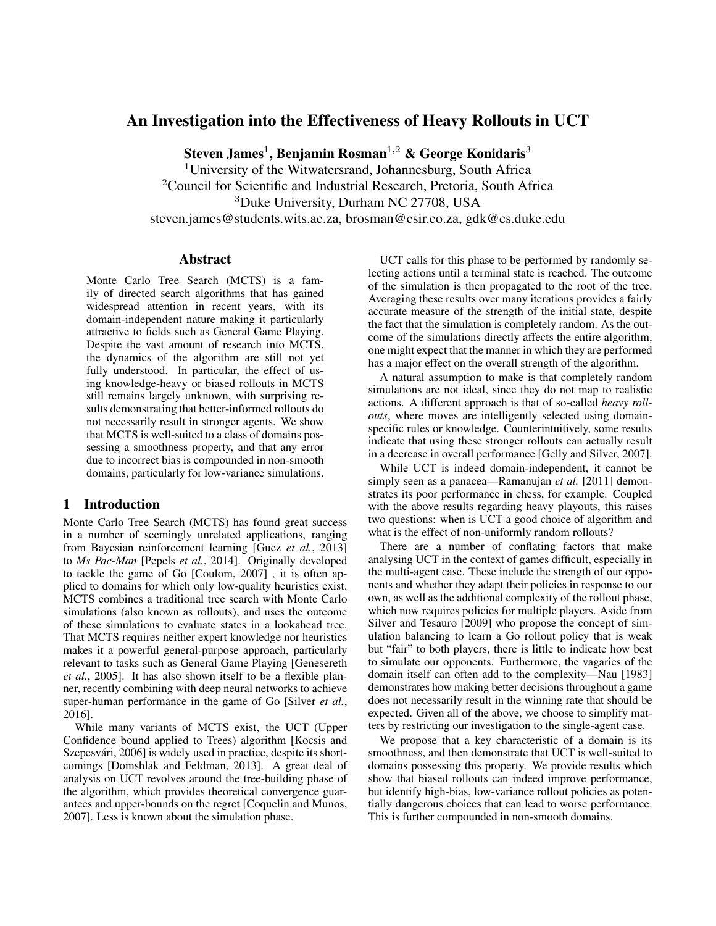# An Investigation into the Effectiveness of Heavy Rollouts in UCT

Steven James $^1$ , Benjamin Rosman $^{1,2}$  & George Konidaris $^3$ 

<sup>1</sup>University of the Witwatersrand, Johannesburg, South Africa <sup>2</sup>Council for Scientific and Industrial Research, Pretoria, South Africa <sup>3</sup>Duke University, Durham NC 27708, USA steven.james@students.wits.ac.za, brosman@csir.co.za, gdk@cs.duke.edu

## Abstract

Monte Carlo Tree Search (MCTS) is a family of directed search algorithms that has gained widespread attention in recent years, with its domain-independent nature making it particularly attractive to fields such as General Game Playing. Despite the vast amount of research into MCTS, the dynamics of the algorithm are still not yet fully understood. In particular, the effect of using knowledge-heavy or biased rollouts in MCTS still remains largely unknown, with surprising results demonstrating that better-informed rollouts do not necessarily result in stronger agents. We show that MCTS is well-suited to a class of domains possessing a smoothness property, and that any error due to incorrect bias is compounded in non-smooth domains, particularly for low-variance simulations.

# 1 Introduction

Monte Carlo Tree Search (MCTS) has found great success in a number of seemingly unrelated applications, ranging from Bayesian reinforcement learning [Guez *et al.*, 2013] to *Ms Pac-Man* [Pepels *et al.*, 2014]. Originally developed to tackle the game of Go [Coulom, 2007] , it is often applied to domains for which only low-quality heuristics exist. MCTS combines a traditional tree search with Monte Carlo simulations (also known as rollouts), and uses the outcome of these simulations to evaluate states in a lookahead tree. That MCTS requires neither expert knowledge nor heuristics makes it a powerful general-purpose approach, particularly relevant to tasks such as General Game Playing [Genesereth *et al.*, 2005]. It has also shown itself to be a flexible planner, recently combining with deep neural networks to achieve super-human performance in the game of Go [Silver *et al.*, 2016].

While many variants of MCTS exist, the UCT (Upper Confidence bound applied to Trees) algorithm [Kocsis and Szepesvári, 2006] is widely used in practice, despite its shortcomings [Domshlak and Feldman, 2013]. A great deal of analysis on UCT revolves around the tree-building phase of the algorithm, which provides theoretical convergence guarantees and upper-bounds on the regret [Coquelin and Munos, 2007]. Less is known about the simulation phase.

UCT calls for this phase to be performed by randomly selecting actions until a terminal state is reached. The outcome of the simulation is then propagated to the root of the tree. Averaging these results over many iterations provides a fairly accurate measure of the strength of the initial state, despite the fact that the simulation is completely random. As the outcome of the simulations directly affects the entire algorithm, one might expect that the manner in which they are performed has a major effect on the overall strength of the algorithm.

A natural assumption to make is that completely random simulations are not ideal, since they do not map to realistic actions. A different approach is that of so-called *heavy rollouts*, where moves are intelligently selected using domainspecific rules or knowledge. Counterintuitively, some results indicate that using these stronger rollouts can actually result in a decrease in overall performance [Gelly and Silver, 2007].

While UCT is indeed domain-independent, it cannot be simply seen as a panacea—Ramanujan *et al.* [2011] demonstrates its poor performance in chess, for example. Coupled with the above results regarding heavy playouts, this raises two questions: when is UCT a good choice of algorithm and what is the effect of non-uniformly random rollouts?

There are a number of conflating factors that make analysing UCT in the context of games difficult, especially in the multi-agent case. These include the strength of our opponents and whether they adapt their policies in response to our own, as well as the additional complexity of the rollout phase, which now requires policies for multiple players. Aside from Silver and Tesauro [2009] who propose the concept of simulation balancing to learn a Go rollout policy that is weak but "fair" to both players, there is little to indicate how best to simulate our opponents. Furthermore, the vagaries of the domain itself can often add to the complexity—Nau [1983] demonstrates how making better decisions throughout a game does not necessarily result in the winning rate that should be expected. Given all of the above, we choose to simplify matters by restricting our investigation to the single-agent case.

We propose that a key characteristic of a domain is its smoothness, and then demonstrate that UCT is well-suited to domains possessing this property. We provide results which show that biased rollouts can indeed improve performance, but identify high-bias, low-variance rollout policies as potentially dangerous choices that can lead to worse performance. This is further compounded in non-smooth domains.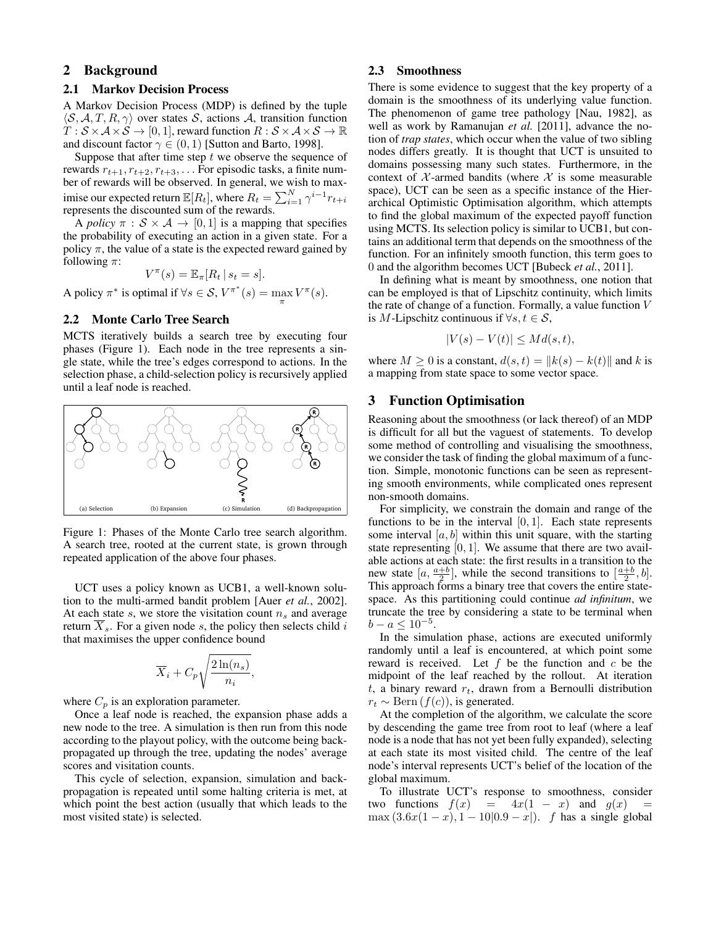# 2 Background

#### 2.1 Markov Decision Process

A Markov Decision Process (MDP) is defined by the tuple  $\langle S, A, T, R, \gamma \rangle$  over states S, actions A, transition function  $T : \mathcal{S} \times \mathcal{A} \times \mathcal{S} \rightarrow [0, 1]$ , reward function  $R : \mathcal{S} \times \mathcal{A} \times \mathcal{S} \rightarrow \mathbb{R}$ and discount factor  $\gamma \in (0,1)$  [Sutton and Barto, 1998].

Suppose that after time step  $t$  we observe the sequence of rewards  $r_{t+1}, r_{t+2}, r_{t+3}, \ldots$  For episodic tasks, a finite number of rewards will be observed. In general, we wish to maximise our expected return  $\mathbb{E}[R_t],$  where  $R_t = \sum_{i=1}^N \gamma^{i-1} r_{t+i}$ represents the discounted sum of the rewards.

A *policy*  $\pi : \mathcal{S} \times \mathcal{A} \rightarrow [0, 1]$  is a mapping that specifies the probability of executing an action in a given state. For a policy  $\pi$ , the value of a state is the expected reward gained by following  $\pi$ :

$$
V^{\pi}(s) = \mathbb{E}_{\pi}[R_t | s_t = s].
$$

A policy  $\pi^*$  is optimal if  $\forall s \in S$ ,  $V^{\pi^*}(s) = \max_{\pi} V^{\pi}(s)$ .

#### 2.2 Monte Carlo Tree Search

MCTS iteratively builds a search tree by executing four phases (Figure 1). Each node in the tree represents a single state, while the tree's edges correspond to actions. In the selection phase, a child-selection policy is recursively applied until a leaf node is reached.



Figure 1: Phases of the Monte Carlo tree search algorithm. A search tree, rooted at the current state, is grown through repeated application of the above four phases.

UCT uses a policy known as UCB1, a well-known solution to the multi-armed bandit problem [Auer *et al.*, 2002]. At each state s, we store the visitation count  $n_s$  and average return  $X_s$ . For a given node s, the policy then selects child i that maximises the upper confidence bound

$$
\overline{X}_i + C_p \sqrt{\frac{2\ln(n_s)}{n_i}},
$$

where  $C_p$  is an exploration parameter.

Once a leaf node is reached, the expansion phase adds a new node to the tree. A simulation is then run from this node according to the playout policy, with the outcome being backpropagated up through the tree, updating the nodes' average scores and visitation counts.

This cycle of selection, expansion, simulation and backpropagation is repeated until some halting criteria is met, at which point the best action (usually that which leads to the most visited state) is selected.

#### 2.3 Smoothness

There is some evidence to suggest that the key property of a domain is the smoothness of its underlying value function. The phenomenon of game tree pathology [Nau, 1982], as well as work by Ramanujan *et al.* [2011], advance the notion of *trap states*, which occur when the value of two sibling nodes differs greatly. It is thought that UCT is unsuited to domains possessing many such states. Furthermore, in the context of  $\mathcal{X}$ -armed bandits (where  $\mathcal{X}$  is some measurable space), UCT can be seen as a specific instance of the Hierarchical Optimistic Optimisation algorithm, which attempts to find the global maximum of the expected payoff function using MCTS. Its selection policy is similar to UCB1, but contains an additional term that depends on the smoothness of the function. For an infinitely smooth function, this term goes to 0 and the algorithm becomes UCT [Bubeck *et al.*, 2011].

In defining what is meant by smoothness, one notion that can be employed is that of Lipschitz continuity, which limits the rate of change of a function. Formally, a value function V is *M*-Lipschitz continuous if  $\forall s, t \in S$ ,

$$
|V(s) - V(t)| \leq Md(s, t),
$$

where  $M \ge 0$  is a constant,  $d(s, t) = ||k(s) - k(t)||$  and k is a mapping from state space to some vector space.

### 3 Function Optimisation

Reasoning about the smoothness (or lack thereof) of an MDP is difficult for all but the vaguest of statements. To develop some method of controlling and visualising the smoothness, we consider the task of finding the global maximum of a function. Simple, monotonic functions can be seen as representing smooth environments, while complicated ones represent non-smooth domains.

For simplicity, we constrain the domain and range of the functions to be in the interval  $[0, 1]$ . Each state represents some interval  $[a, b]$  within this unit square, with the starting state representing  $[0, 1]$ . We assume that there are two available actions at each state: the first results in a transition to the new state  $[a, \frac{a+b}{2}]$ , while the second transitions to  $\left[\frac{a+b}{2}, b\right]$ . This approach forms a binary tree that covers the entire statespace. As this partitioning could continue *ad infinitum*, we truncate the tree by considering a state to be terminal when  $b - a \leq 10^{-5}$ .

In the simulation phase, actions are executed uniformly randomly until a leaf is encountered, at which point some reward is received. Let  $f$  be the function and  $c$  be the midpoint of the leaf reached by the rollout. At iteration  $t$ , a binary reward  $r_t$ , drawn from a Bernoulli distribution  $r_t \sim \text{Bern}(f(c))$ , is generated.

At the completion of the algorithm, we calculate the score by descending the game tree from root to leaf (where a leaf node is a node that has not yet been fully expanded), selecting at each state its most visited child. The centre of the leaf node's interval represents UCT's belief of the location of the global maximum.

To illustrate UCT's response to smoothness, consider two functions  $f(x) = 4x(1 - x)$  and  $g(x)$ max  $(3.6x(1-x), 1-10|0.9-x|)$ . f has a single global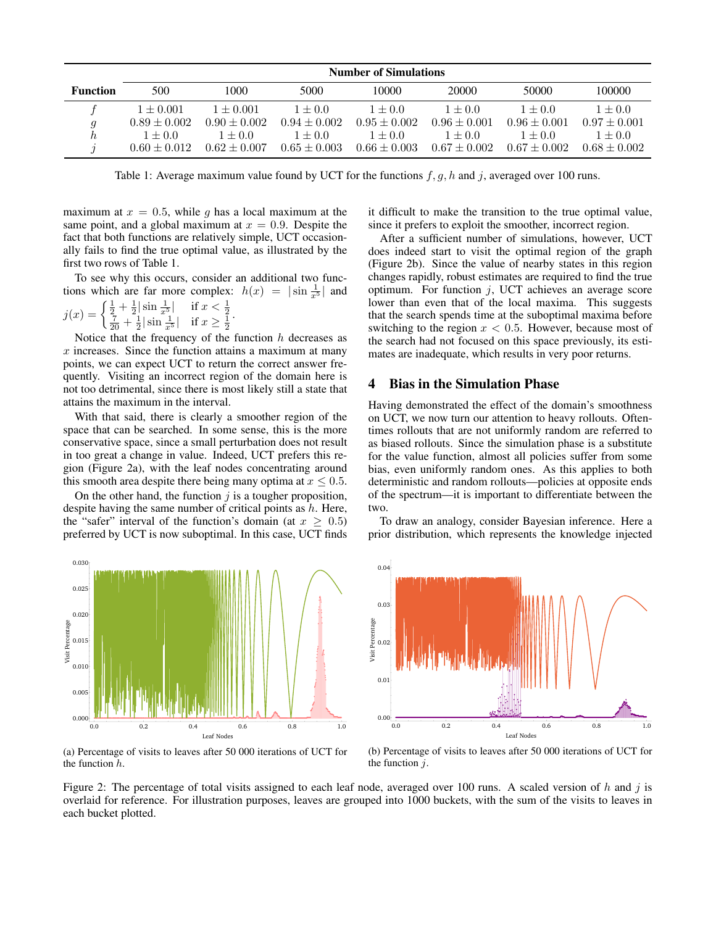|                 | <b>Number of Simulations</b> |                  |                  |                  |                  |                  |                  |
|-----------------|------------------------------|------------------|------------------|------------------|------------------|------------------|------------------|
| <b>Function</b> | 500                          | 1000             | 5000             | 10000            | 20000            | 50000            | 100000           |
|                 | $1 \pm 0.001$                | $1 \pm 0.001$    | $1 + 0.0$        | $1 + 0.0$        | $1 + 0.0$        | $1 + 0.0$        | $1 \pm 0.0$      |
| a               | $0.89 \pm 0.002$             | $0.90 \pm 0.002$ | $0.94 \pm 0.002$ | $0.95 \pm 0.002$ | $0.96 \pm 0.001$ | $0.96 \pm 0.001$ | $0.97 \pm 0.001$ |
|                 | $1 + 0.0$                    | $1 + 0.0$        | $1 + 0.0$        | $1 \pm 0.0$      | $1 + 0.0$        | $1 + 0.0$        | $1 \pm 0.0$      |
|                 | $0.60 \pm 0.012$             | $0.62 \pm 0.007$ | $0.65 \pm 0.003$ | $0.66 \pm 0.003$ | $0.67 \pm 0.002$ | $0.67 \pm 0.002$ | $0.68 + 0.002$   |

Table 1: Average maximum value found by UCT for the functions  $f, g, h$  and j, averaged over 100 runs.

maximum at  $x = 0.5$ , while g has a local maximum at the same point, and a global maximum at  $x = 0.9$ . Despite the fact that both functions are relatively simple, UCT occasionally fails to find the true optimal value, as illustrated by the first two rows of Table 1.

To see why this occurs, consider an additional two functions which are far more complex:  $h(x) = |\sin \frac{1}{x^5}|$  and

$$
j(x) = \begin{cases} \frac{1}{2} + \frac{1}{2} |\sin \frac{1}{x^5}| & \text{if } x < \frac{1}{2} \\ \frac{7}{20} + \frac{1}{2} |\sin \frac{1}{x^5}| & \text{if } x \ge \frac{1}{2} \end{cases}.
$$

Notice that the frequency of the function  $h$  decreases as  $x$  increases. Since the function attains a maximum at many points, we can expect UCT to return the correct answer frequently. Visiting an incorrect region of the domain here is not too detrimental, since there is most likely still a state that attains the maximum in the interval.

With that said, there is clearly a smoother region of the space that can be searched. In some sense, this is the more conservative space, since a small perturbation does not result in too great a change in value. Indeed, UCT prefers this region (Figure 2a), with the leaf nodes concentrating around this smooth area despite there being many optima at  $x \leq 0.5$ .

On the other hand, the function  $j$  is a tougher proposition, despite having the same number of critical points as  $h$ . Here, the "safer" interval of the function's domain (at  $x \geq 0.5$ ) preferred by UCT is now suboptimal. In this case, UCT finds



(a) Percentage of visits to leaves after 50 000 iterations of UCT for the function h.

it difficult to make the transition to the true optimal value, since it prefers to exploit the smoother, incorrect region.

After a sufficient number of simulations, however, UCT does indeed start to visit the optimal region of the graph (Figure 2b). Since the value of nearby states in this region changes rapidly, robust estimates are required to find the true optimum. For function  $j$ , UCT achieves an average score lower than even that of the local maxima. This suggests that the search spends time at the suboptimal maxima before switching to the region  $x < 0.5$ . However, because most of the search had not focused on this space previously, its estimates are inadequate, which results in very poor returns.

#### 4 Bias in the Simulation Phase

Having demonstrated the effect of the domain's smoothness on UCT, we now turn our attention to heavy rollouts. Oftentimes rollouts that are not uniformly random are referred to as biased rollouts. Since the simulation phase is a substitute for the value function, almost all policies suffer from some bias, even uniformly random ones. As this applies to both deterministic and random rollouts—policies at opposite ends of the spectrum—it is important to differentiate between the two.

To draw an analogy, consider Bayesian inference. Here a prior distribution, which represents the knowledge injected



(b) Percentage of visits to leaves after 50 000 iterations of UCT for the function  $i$ .

Figure 2: The percentage of total visits assigned to each leaf node, averaged over 100 runs. A scaled version of h and j is overlaid for reference. For illustration purposes, leaves are grouped into 1000 buckets, with the sum of the visits to leaves in each bucket plotted.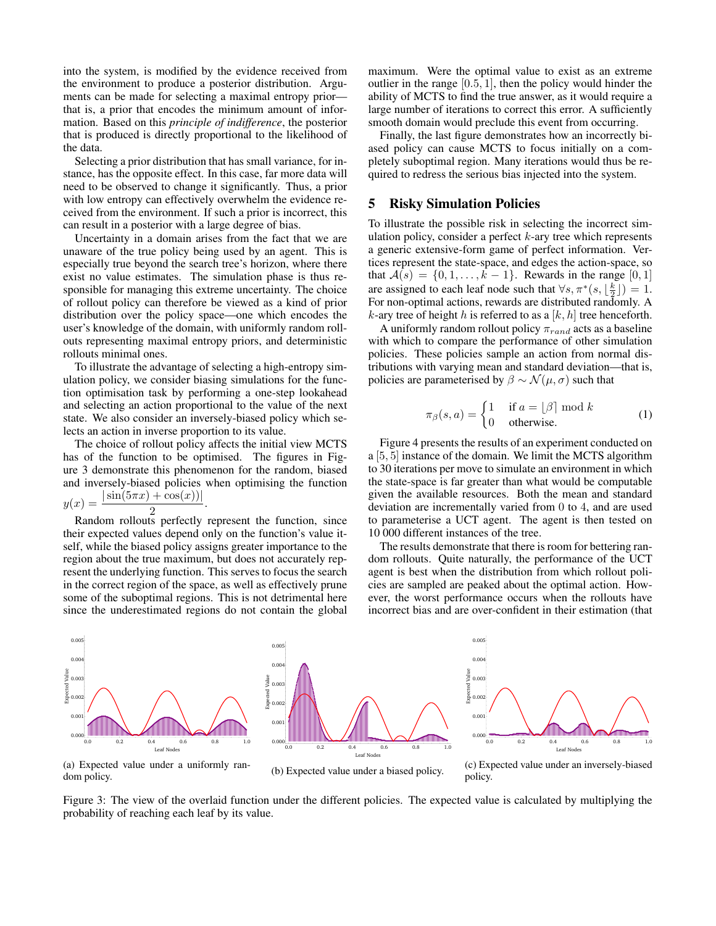into the system, is modified by the evidence received from the environment to produce a posterior distribution. Arguments can be made for selecting a maximal entropy prior that is, a prior that encodes the minimum amount of information. Based on this *principle of indifference*, the posterior that is produced is directly proportional to the likelihood of the data.

Selecting a prior distribution that has small variance, for instance, has the opposite effect. In this case, far more data will need to be observed to change it significantly. Thus, a prior with low entropy can effectively overwhelm the evidence received from the environment. If such a prior is incorrect, this can result in a posterior with a large degree of bias.

Uncertainty in a domain arises from the fact that we are unaware of the true policy being used by an agent. This is especially true beyond the search tree's horizon, where there exist no value estimates. The simulation phase is thus responsible for managing this extreme uncertainty. The choice of rollout policy can therefore be viewed as a kind of prior distribution over the policy space—one which encodes the user's knowledge of the domain, with uniformly random rollouts representing maximal entropy priors, and deterministic rollouts minimal ones.

To illustrate the advantage of selecting a high-entropy simulation policy, we consider biasing simulations for the function optimisation task by performing a one-step lookahead and selecting an action proportional to the value of the next state. We also consider an inversely-biased policy which selects an action in inverse proportion to its value.

The choice of rollout policy affects the initial view MCTS has of the function to be optimised. The figures in Figure 3 demonstrate this phenomenon for the random, biased and inversely-biased policies when optimising the function  $|\sin(5\pi x) + \cos(x)|$ 

$$
y(x) = \frac{|\sin(\theta h x) + \cos(x) f|}{2}.
$$

Random rollouts perfectly represent the function, since their expected values depend only on the function's value itself, while the biased policy assigns greater importance to the region about the true maximum, but does not accurately represent the underlying function. This serves to focus the search in the correct region of the space, as well as effectively prune some of the suboptimal regions. This is not detrimental here since the underestimated regions do not contain the global maximum. Were the optimal value to exist as an extreme outlier in the range  $[0.5, 1]$ , then the policy would hinder the ability of MCTS to find the true answer, as it would require a large number of iterations to correct this error. A sufficiently smooth domain would preclude this event from occurring.

Finally, the last figure demonstrates how an incorrectly biased policy can cause MCTS to focus initially on a completely suboptimal region. Many iterations would thus be required to redress the serious bias injected into the system.

### 5 Risky Simulation Policies

To illustrate the possible risk in selecting the incorrect simulation policy, consider a perfect  $k$ -ary tree which represents a generic extensive-form game of perfect information. Vertices represent the state-space, and edges the action-space, so that  $A(s) = \{0, 1, ..., k - 1\}$ . Rewards in the range [0, 1] are assigned to each leaf node such that  $\forall s, \pi^*(s, \lfloor \frac{k}{2} \rfloor) = 1$ . For non-optimal actions, rewards are distributed randomly. A  $k$ -ary tree of height  $h$  is referred to as a  $[k, h]$  tree henceforth.

A uniformly random rollout policy  $\pi_{rand}$  acts as a baseline with which to compare the performance of other simulation policies. These policies sample an action from normal distributions with varying mean and standard deviation—that is, policies are parameterised by  $\beta \sim \mathcal{N}(\mu, \sigma)$  such that

$$
\pi_{\beta}(s, a) = \begin{cases} 1 & \text{if } a = \lfloor \beta \rfloor \bmod k \\ 0 & \text{otherwise.} \end{cases}
$$
 (1)

Figure 4 presents the results of an experiment conducted on a [5, 5] instance of the domain. We limit the MCTS algorithm to 30 iterations per move to simulate an environment in which the state-space is far greater than what would be computable given the available resources. Both the mean and standard deviation are incrementally varied from 0 to 4, and are used to parameterise a UCT agent. The agent is then tested on 10 000 different instances of the tree.

The results demonstrate that there is room for bettering random rollouts. Quite naturally, the performance of the UCT agent is best when the distribution from which rollout policies are sampled are peaked about the optimal action. However, the worst performance occurs when the rollouts have incorrect bias and are over-confident in their estimation (that



Figure 3: The view of the overlaid function under the different policies. The expected value is calculated by multiplying the probability of reaching each leaf by its value.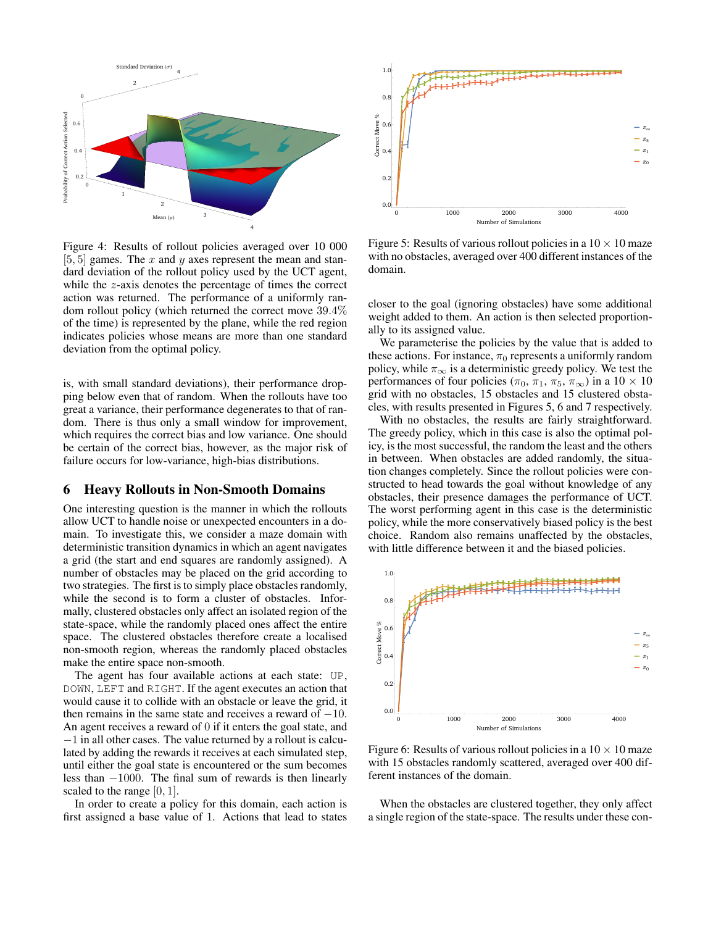

Figure 4: Results of rollout policies averaged over 10 000 [5, 5] games. The x and y axes represent the mean and standard deviation of the rollout policy used by the UCT agent, while the z-axis denotes the percentage of times the correct action was returned. The performance of a uniformly random rollout policy (which returned the correct move 39.4% of the time) is represented by the plane, while the red region indicates policies whose means are more than one standard deviation from the optimal policy.

is, with small standard deviations), their performance dropping below even that of random. When the rollouts have too great a variance, their performance degenerates to that of random. There is thus only a small window for improvement, which requires the correct bias and low variance. One should be certain of the correct bias, however, as the major risk of failure occurs for low-variance, high-bias distributions.

### 6 Heavy Rollouts in Non-Smooth Domains

One interesting question is the manner in which the rollouts allow UCT to handle noise or unexpected encounters in a domain. To investigate this, we consider a maze domain with deterministic transition dynamics in which an agent navigates a grid (the start and end squares are randomly assigned). A number of obstacles may be placed on the grid according to two strategies. The first is to simply place obstacles randomly, while the second is to form a cluster of obstacles. Informally, clustered obstacles only affect an isolated region of the state-space, while the randomly placed ones affect the entire space. The clustered obstacles therefore create a localised non-smooth region, whereas the randomly placed obstacles make the entire space non-smooth.

The agent has four available actions at each state: UP, DOWN, LEFT and RIGHT. If the agent executes an action that would cause it to collide with an obstacle or leave the grid, it then remains in the same state and receives a reward of  $-10$ . An agent receives a reward of 0 if it enters the goal state, and −1 in all other cases. The value returned by a rollout is calculated by adding the rewards it receives at each simulated step, until either the goal state is encountered or the sum becomes less than −1000. The final sum of rewards is then linearly scaled to the range [0, 1].

In order to create a policy for this domain, each action is first assigned a base value of 1. Actions that lead to states



Figure 5: Results of various rollout policies in a  $10 \times 10$  maze with no obstacles, averaged over 400 different instances of the domain.

closer to the goal (ignoring obstacles) have some additional weight added to them. An action is then selected proportionally to its assigned value.

We parameterise the policies by the value that is added to these actions. For instance,  $\pi_0$  represents a uniformly random policy, while  $\pi_{\infty}$  is a deterministic greedy policy. We test the performances of four policies ( $\pi_0$ ,  $\pi_1$ ,  $\pi_5$ ,  $\pi_\infty$ ) in a 10 × 10 grid with no obstacles, 15 obstacles and 15 clustered obstacles, with results presented in Figures 5, 6 and 7 respectively.

With no obstacles, the results are fairly straightforward. The greedy policy, which in this case is also the optimal policy, is the most successful, the random the least and the others in between. When obstacles are added randomly, the situation changes completely. Since the rollout policies were constructed to head towards the goal without knowledge of any obstacles, their presence damages the performance of UCT. The worst performing agent in this case is the deterministic policy, while the more conservatively biased policy is the best choice. Random also remains unaffected by the obstacles, with little difference between it and the biased policies.



Figure 6: Results of various rollout policies in a  $10 \times 10$  maze with 15 obstacles randomly scattered, averaged over 400 different instances of the domain.

When the obstacles are clustered together, they only affect a single region of the state-space. The results under these con-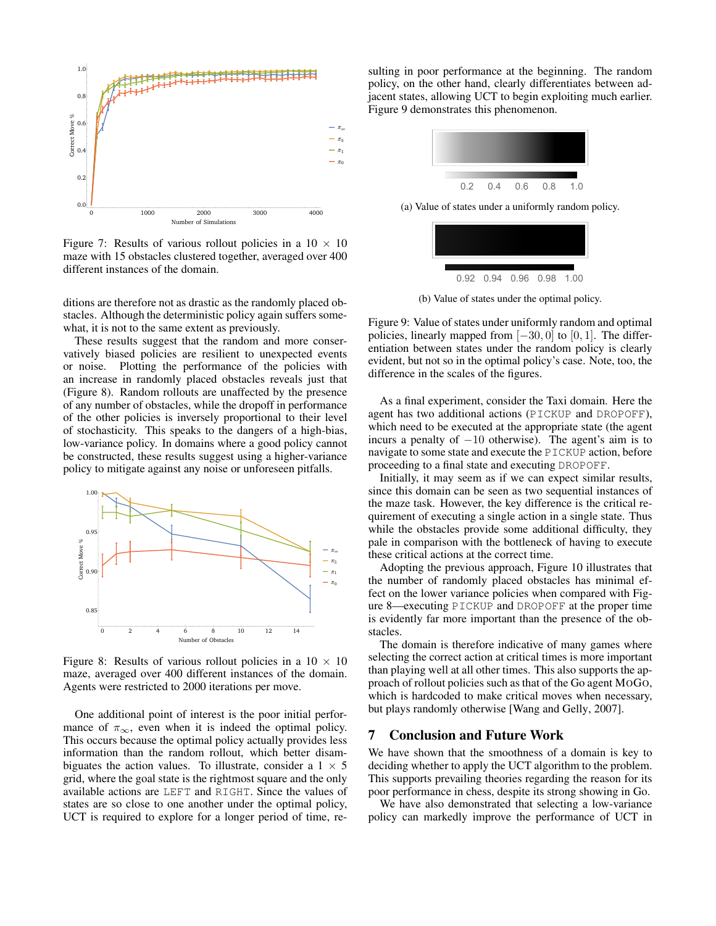

Figure 7: Results of various rollout policies in a  $10 \times 10$ maze with 15 obstacles clustered together, averaged over 400 different instances of the domain.

ditions are therefore not as drastic as the randomly placed obstacles. Although the deterministic policy again suffers somewhat, it is not to the same extent as previously.

These results suggest that the random and more conservatively biased policies are resilient to unexpected events or noise. Plotting the performance of the policies with an increase in randomly placed obstacles reveals just that (Figure 8). Random rollouts are unaffected by the presence of any number of obstacles, while the dropoff in performance of the other policies is inversely proportional to their level of stochasticity. This speaks to the dangers of a high-bias, low-variance policy. In domains where a good policy cannot be constructed, these results suggest using a higher-variance policy to mitigate against any noise or unforeseen pitfalls.



Figure 8: Results of various rollout policies in a  $10 \times 10$ maze, averaged over 400 different instances of the domain. Agents were restricted to 2000 iterations per move.

One additional point of interest is the poor initial performance of  $\pi_{\infty}$ , even when it is indeed the optimal policy. This occurs because the optimal policy actually provides less information than the random rollout, which better disambiguates the action values. To illustrate, consider a  $1 \times 5$ grid, where the goal state is the rightmost square and the only available actions are LEFT and RIGHT. Since the values of states are so close to one another under the optimal policy, UCT is required to explore for a longer period of time, resulting in poor performance at the beginning. The random policy, on the other hand, clearly differentiates between adjacent states, allowing UCT to begin exploiting much earlier. Figure 9 demonstrates this phenomenon.



(a) Value of states under a uniformly random policy.



(b) Value of states under the optimal policy.

Figure 9: Value of states under uniformly random and optimal policies, linearly mapped from  $[-30, 0]$  to  $[0, 1]$ . The differentiation between states under the random policy is clearly evident, but not so in the optimal policy's case. Note, too, the difference in the scales of the figures.

As a final experiment, consider the Taxi domain. Here the agent has two additional actions (PICKUP and DROPOFF), which need to be executed at the appropriate state (the agent incurs a penalty of  $-10$  otherwise). The agent's aim is to navigate to some state and execute the PICKUP action, before proceeding to a final state and executing DROPOFF.

Initially, it may seem as if we can expect similar results, since this domain can be seen as two sequential instances of the maze task. However, the key difference is the critical requirement of executing a single action in a single state. Thus while the obstacles provide some additional difficulty, they pale in comparison with the bottleneck of having to execute these critical actions at the correct time.

Adopting the previous approach, Figure 10 illustrates that the number of randomly placed obstacles has minimal effect on the lower variance policies when compared with Figure 8—executing PICKUP and DROPOFF at the proper time is evidently far more important than the presence of the obstacles.

The domain is therefore indicative of many games where selecting the correct action at critical times is more important than playing well at all other times. This also supports the approach of rollout policies such as that of the Go agent MOGO, which is hardcoded to make critical moves when necessary, but plays randomly otherwise [Wang and Gelly, 2007].

#### 7 Conclusion and Future Work

We have shown that the smoothness of a domain is key to deciding whether to apply the UCT algorithm to the problem. This supports prevailing theories regarding the reason for its poor performance in chess, despite its strong showing in Go.

We have also demonstrated that selecting a low-variance policy can markedly improve the performance of UCT in